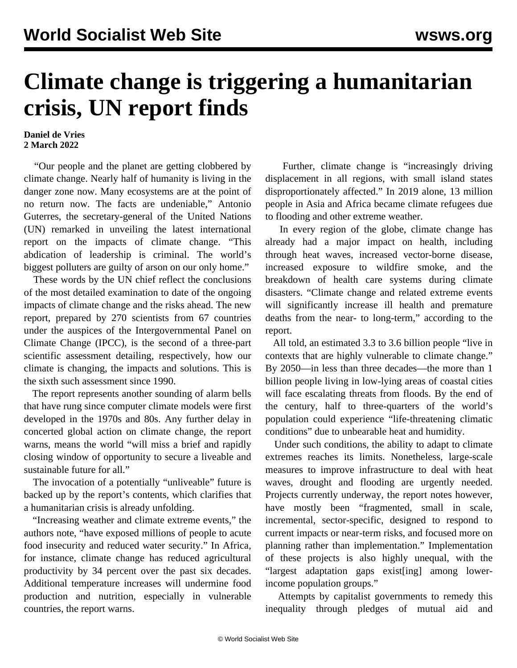## **Climate change is triggering a humanitarian crisis, UN report finds**

## **Daniel de Vries 2 March 2022**

 "Our people and the planet are getting clobbered by climate change. Nearly half of humanity is living in the danger zone now. Many ecosystems are at the point of no return now. The facts are undeniable," Antonio Guterres, the secretary-general of the United Nations (UN) remarked in unveiling the latest international report on the impacts of climate change. "This abdication of leadership is criminal. The world's biggest polluters are guilty of arson on our only home."

 These words by the UN chief reflect the conclusions of the most detailed examination to date of the ongoing impacts of climate change and the risks ahead. The new report, prepared by 270 scientists from 67 countries under the auspices of the Intergovernmental Panel on Climate Change (IPCC), is the second of a three-part scientific assessment detailing, respectively, how our climate is changing, the impacts and solutions. This is the sixth such assessment since 1990.

 The report represents another sounding of alarm bells that have rung since computer climate models were first developed in the 1970s and 80s. Any further delay in concerted global action on climate change, the report warns, means the world "will miss a brief and rapidly closing window of opportunity to secure a liveable and sustainable future for all."

 The invocation of a potentially "unliveable" future is backed up by the report's contents, which clarifies that a humanitarian crisis is already unfolding.

 "Increasing weather and climate extreme events," the authors note, "have exposed millions of people to acute food insecurity and reduced water security." In Africa, for instance, climate change has reduced agricultural productivity by 34 percent over the past six decades. Additional temperature increases will undermine food production and nutrition, especially in vulnerable countries, the report warns.

 Further, climate change is "increasingly driving displacement in all regions, with small island states disproportionately affected." In 2019 alone, 13 million people in Asia and Africa became climate refugees due to flooding and other extreme weather.

 In every region of the globe, climate change has already had a major impact on health, including through heat waves, increased vector-borne disease, increased exposure to wildfire smoke, and the breakdown of health care systems during climate disasters. "Climate change and related extreme events will significantly increase ill health and premature deaths from the near- to long-term," according to the report.

 All told, an estimated 3.3 to 3.6 billion people "live in contexts that are highly vulnerable to climate change." By 2050—in less than three decades—the more than 1 billion people living in low-lying areas of coastal cities will face escalating threats from floods. By the end of the century, half to three-quarters of the world's population could experience "life-threatening climatic conditions" due to unbearable heat and humidity.

 Under such conditions, the ability to adapt to climate extremes reaches its limits. Nonetheless, large-scale measures to improve infrastructure to deal with heat waves, drought and flooding are urgently needed. Projects currently underway, the report notes however, have mostly been "fragmented, small in scale, incremental, sector-specific, designed to respond to current impacts or near-term risks, and focused more on planning rather than implementation." Implementation of these projects is also highly unequal, with the "largest adaptation gaps exist[ing] among lowerincome population groups."

 Attempts by capitalist governments to remedy this inequality through pledges of mutual aid and